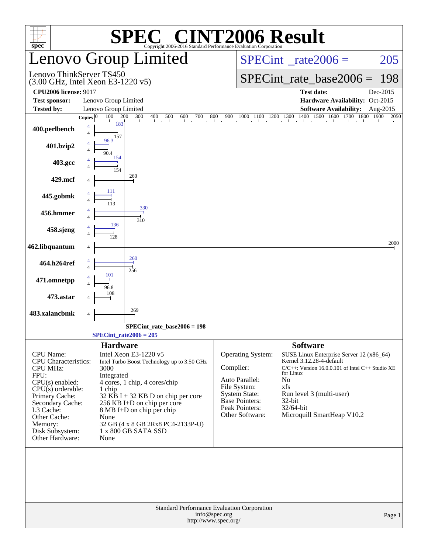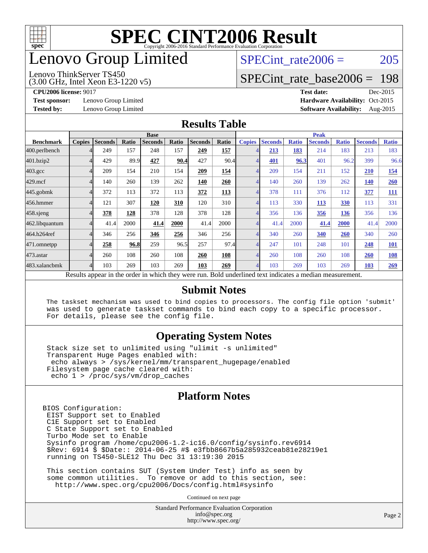

# enovo Group Limited

#### (3.00 GHz, Intel Xeon E3-1220 v5) Lenovo ThinkServer TS450

SPECint rate $2006 = 205$ 

### [SPECint\\_rate\\_base2006 =](http://www.spec.org/auto/cpu2006/Docs/result-fields.html#SPECintratebase2006) 198

**[Test sponsor:](http://www.spec.org/auto/cpu2006/Docs/result-fields.html#Testsponsor)** Lenovo Group Limited **[Hardware Availability:](http://www.spec.org/auto/cpu2006/Docs/result-fields.html#HardwareAvailability)** Oct-2015

**[CPU2006 license:](http://www.spec.org/auto/cpu2006/Docs/result-fields.html#CPU2006license)** 9017 **[Test date:](http://www.spec.org/auto/cpu2006/Docs/result-fields.html#Testdate)** Dec-2015 **[Tested by:](http://www.spec.org/auto/cpu2006/Docs/result-fields.html#Testedby)** Lenovo Group Limited **[Software Availability:](http://www.spec.org/auto/cpu2006/Docs/result-fields.html#SoftwareAvailability)** Aug-2015

#### **[Results Table](http://www.spec.org/auto/cpu2006/Docs/result-fields.html#ResultsTable)**

|                  | <b>Base</b>                                                                                              |                |       |                |       |                |            | <b>Peak</b>   |                |              |                |              |                |              |
|------------------|----------------------------------------------------------------------------------------------------------|----------------|-------|----------------|-------|----------------|------------|---------------|----------------|--------------|----------------|--------------|----------------|--------------|
| <b>Benchmark</b> | <b>Copies</b>                                                                                            | <b>Seconds</b> | Ratio | <b>Seconds</b> | Ratio | <b>Seconds</b> | Ratio      | <b>Copies</b> | <b>Seconds</b> | <b>Ratio</b> | <b>Seconds</b> | <b>Ratio</b> | <b>Seconds</b> | <b>Ratio</b> |
| 400.perlbench    |                                                                                                          | 249            | 157   | 248            | 157   | 249            | 157        |               | 213            | 183          | 214            | 183          | 213            | 183          |
| 401.bzip2        |                                                                                                          | 429            | 89.9  | 427            | 90.4  | 427            | 90.4       |               | 401            | 96.3         | 401            | 96.2         | 399            | 96.6         |
| $403.\text{gcc}$ |                                                                                                          | 209            | 154   | 210            | 154   | 209            | 154        |               | 209            | 154          | 211            | 152          | 210            | 154          |
| $429$ .mcf       |                                                                                                          | 140            | 260   | 139            | 262   | 140            | 260        |               | 140            | 260          | 139            | 262          | <b>140</b>     | 260          |
| $445$ .gobmk     |                                                                                                          | 372            | 113   | 372            | 113   | 372            | <b>113</b> |               | 378            | 111          | 376            | 112          | 377            | <b>111</b>   |
| 456.hmmer        |                                                                                                          | 121            | 307   | 120            | 310   | 120            | 310        | 4             | 113            | 330          | 113            | 330          | 113            | 331          |
| $458$ .sjeng     |                                                                                                          | 378            | 128   | 378            | 128   | 378            | 128        |               | 356            | 136          | 356            | 136          | 356            | 136          |
| 462.libquantum   |                                                                                                          | 41.4           | 2000  | 41.4           | 2000  | 41.4           | 2000       |               | 41.4           | 2000         | 41.4           | 2000         | 41.4           | 2000         |
| 464.h264ref      |                                                                                                          | 346            | 256   | 346            | 256   | 346            | 256        |               | 340            | 260          | 340            | 260          | 340            | 260          |
| 471.omnetpp      |                                                                                                          | 258            | 96.8  | 259            | 96.5  | 257            | 97.4       | 4             | 247            | 101          | 248            | 101          | 248            | <u>101</u>   |
| 473.astar        |                                                                                                          | 260            | 108   | 260            | 108   | 260            | 108        | 4             | 260            | 108          | 260            | 108          | 260            | 108          |
| 483.xalancbmk    |                                                                                                          | 103            | 269   | 103            | 269   | 103            | 269        |               | 103            | 269          | 103            | 269          | 103            | 269          |
|                  | Results appear in the order in which they were run. Bold underlined text indicates a median measurement. |                |       |                |       |                |            |               |                |              |                |              |                |              |

#### **[Submit Notes](http://www.spec.org/auto/cpu2006/Docs/result-fields.html#SubmitNotes)**

 The taskset mechanism was used to bind copies to processors. The config file option 'submit' was used to generate taskset commands to bind each copy to a specific processor. For details, please see the config file.

#### **[Operating System Notes](http://www.spec.org/auto/cpu2006/Docs/result-fields.html#OperatingSystemNotes)**

 Stack size set to unlimited using "ulimit -s unlimited" Transparent Huge Pages enabled with: echo always > /sys/kernel/mm/transparent\_hugepage/enabled Filesystem page cache cleared with: echo 1 > /proc/sys/vm/drop\_caches

#### **[Platform Notes](http://www.spec.org/auto/cpu2006/Docs/result-fields.html#PlatformNotes)**

BIOS Configuration: EIST Support set to Enabled C1E Support set to Enabled C State Support set to Enabled Turbo Mode set to Enable Sysinfo program /home/cpu2006-1.2-ic16.0/config/sysinfo.rev6914 \$Rev: 6914 \$ \$Date:: 2014-06-25 #\$ e3fbb8667b5a285932ceab81e28219e1 running on TS450-SLE12 Thu Dec 31 13:19:30 2015

 This section contains SUT (System Under Test) info as seen by some common utilities. To remove or add to this section, see: <http://www.spec.org/cpu2006/Docs/config.html#sysinfo>

Continued on next page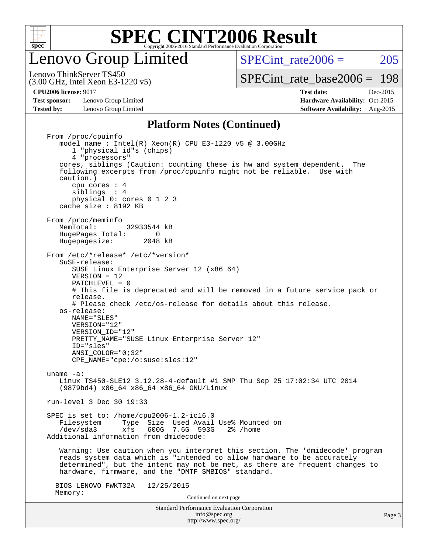

enovo Group Limited

SPECint rate $2006 = 205$ [SPECint\\_rate\\_base2006 =](http://www.spec.org/auto/cpu2006/Docs/result-fields.html#SPECintratebase2006) 198

(3.00 GHz, Intel Xeon E3-1220 v5) Lenovo ThinkServer TS450

**[Test sponsor:](http://www.spec.org/auto/cpu2006/Docs/result-fields.html#Testsponsor)** Lenovo Group Limited **[Hardware Availability:](http://www.spec.org/auto/cpu2006/Docs/result-fields.html#HardwareAvailability)** Oct-2015 **[Tested by:](http://www.spec.org/auto/cpu2006/Docs/result-fields.html#Testedby)** Lenovo Group Limited **[Software Availability:](http://www.spec.org/auto/cpu2006/Docs/result-fields.html#SoftwareAvailability)** Aug-2015

**[CPU2006 license:](http://www.spec.org/auto/cpu2006/Docs/result-fields.html#CPU2006license)** 9017 **[Test date:](http://www.spec.org/auto/cpu2006/Docs/result-fields.html#Testdate)** Dec-2015

#### **[Platform Notes \(Continued\)](http://www.spec.org/auto/cpu2006/Docs/result-fields.html#PlatformNotes)**

Standard Performance Evaluation Corporation [info@spec.org](mailto:info@spec.org) From /proc/cpuinfo model name:  $Intel(R)$  Xeon $(R)$  CPU E3-1220 v5 @ 3.00GHz 1 "physical id"s (chips) 4 "processors" cores, siblings (Caution: counting these is hw and system dependent. The following excerpts from /proc/cpuinfo might not be reliable. Use with caution.) cpu cores : 4 siblings : 4 physical 0: cores 0 1 2 3 cache size : 8192 KB From /proc/meminfo<br>MemTotal: 32933544 kB HugePages\_Total: 0<br>Hugepagesize: 2048 kB Hugepagesize: From /etc/\*release\* /etc/\*version\* SuSE-release: SUSE Linux Enterprise Server 12 (x86\_64) VERSION = 12 PATCHLEVEL = 0 # This file is deprecated and will be removed in a future service pack or release. # Please check /etc/os-release for details about this release. os-release: NAME="SLES" VERSION="12" VERSION\_ID="12" PRETTY\_NAME="SUSE Linux Enterprise Server 12" ID="sles" ANSI\_COLOR="0;32" CPE\_NAME="cpe:/o:suse:sles:12" uname -a: Linux TS450-SLE12 3.12.28-4-default #1 SMP Thu Sep 25 17:02:34 UTC 2014 (9879bd4) x86\_64 x86\_64 x86\_64 GNU/Linux run-level 3 Dec 30 19:33 SPEC is set to: /home/cpu2006-1.2-ic16.0 Filesystem Type Size Used Avail Use% Mounted on<br>
/dev/sda3 xfs 600G 7.6G 593G 2% /home  $xfs$  600G 7.6G 593G 2% /home Additional information from dmidecode: Warning: Use caution when you interpret this section. The 'dmidecode' program reads system data which is "intended to allow hardware to be accurately determined", but the intent may not be met, as there are frequent changes to hardware, firmware, and the "DMTF SMBIOS" standard. BIOS LENOVO FWKT32A 12/25/2015 Memory: Continued on next page

<http://www.spec.org/>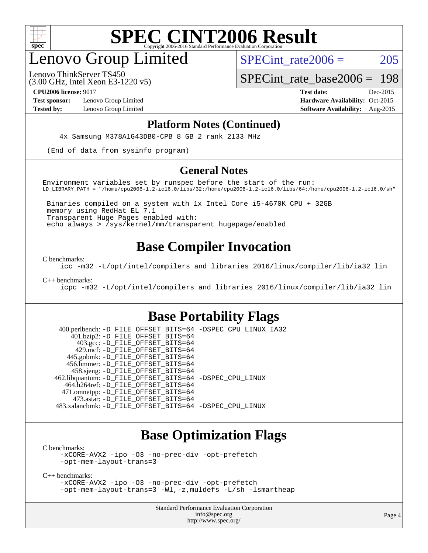

# enovo Group Limited

SPECint rate $2006 = 205$ 

(3.00 GHz, Intel Xeon E3-1220 v5) Lenovo ThinkServer TS450

[SPECint\\_rate\\_base2006 =](http://www.spec.org/auto/cpu2006/Docs/result-fields.html#SPECintratebase2006) 198

**[Test sponsor:](http://www.spec.org/auto/cpu2006/Docs/result-fields.html#Testsponsor)** Lenovo Group Limited **[Hardware Availability:](http://www.spec.org/auto/cpu2006/Docs/result-fields.html#HardwareAvailability)** Oct-2015

**[CPU2006 license:](http://www.spec.org/auto/cpu2006/Docs/result-fields.html#CPU2006license)** 9017 **[Test date:](http://www.spec.org/auto/cpu2006/Docs/result-fields.html#Testdate)** Dec-2015 **[Tested by:](http://www.spec.org/auto/cpu2006/Docs/result-fields.html#Testedby)** Lenovo Group Limited **[Software Availability:](http://www.spec.org/auto/cpu2006/Docs/result-fields.html#SoftwareAvailability)** Aug-2015

#### **[Platform Notes \(Continued\)](http://www.spec.org/auto/cpu2006/Docs/result-fields.html#PlatformNotes)**

4x Samsung M378A1G43DB0-CPB 8 GB 2 rank 2133 MHz

(End of data from sysinfo program)

#### **[General Notes](http://www.spec.org/auto/cpu2006/Docs/result-fields.html#GeneralNotes)**

Environment variables set by runspec before the start of the run: LD\_LIBRARY\_PATH = "/home/cpu2006-1.2-ic16.0/libs/32:/home/cpu2006-1.2-ic16.0/libs/64:/home/cpu2006-1.2-ic16.0/sh"

 Binaries compiled on a system with 1x Intel Core i5-4670K CPU + 32GB memory using RedHat EL 7.1 Transparent Huge Pages enabled with: echo always > /sys/kernel/mm/transparent\_hugepage/enabled

### **[Base Compiler Invocation](http://www.spec.org/auto/cpu2006/Docs/result-fields.html#BaseCompilerInvocation)**

[C benchmarks](http://www.spec.org/auto/cpu2006/Docs/result-fields.html#Cbenchmarks):

[icc -m32 -L/opt/intel/compilers\\_and\\_libraries\\_2016/linux/compiler/lib/ia32\\_lin](http://www.spec.org/cpu2006/results/res2016q1/cpu2006-20160125-38892.flags.html#user_CCbase_intel_icc_e10256ba5924b668798078a321b0cb3f)

[C++ benchmarks:](http://www.spec.org/auto/cpu2006/Docs/result-fields.html#CXXbenchmarks)

[icpc -m32 -L/opt/intel/compilers\\_and\\_libraries\\_2016/linux/compiler/lib/ia32\\_lin](http://www.spec.org/cpu2006/results/res2016q1/cpu2006-20160125-38892.flags.html#user_CXXbase_intel_icpc_b4f50a394bdb4597aa5879c16bc3f5c5)

### **[Base Portability Flags](http://www.spec.org/auto/cpu2006/Docs/result-fields.html#BasePortabilityFlags)**

 400.perlbench: [-D\\_FILE\\_OFFSET\\_BITS=64](http://www.spec.org/cpu2006/results/res2016q1/cpu2006-20160125-38892.flags.html#user_basePORTABILITY400_perlbench_file_offset_bits_64_438cf9856305ebd76870a2c6dc2689ab) [-DSPEC\\_CPU\\_LINUX\\_IA32](http://www.spec.org/cpu2006/results/res2016q1/cpu2006-20160125-38892.flags.html#b400.perlbench_baseCPORTABILITY_DSPEC_CPU_LINUX_IA32) 401.bzip2: [-D\\_FILE\\_OFFSET\\_BITS=64](http://www.spec.org/cpu2006/results/res2016q1/cpu2006-20160125-38892.flags.html#user_basePORTABILITY401_bzip2_file_offset_bits_64_438cf9856305ebd76870a2c6dc2689ab) 403.gcc: [-D\\_FILE\\_OFFSET\\_BITS=64](http://www.spec.org/cpu2006/results/res2016q1/cpu2006-20160125-38892.flags.html#user_basePORTABILITY403_gcc_file_offset_bits_64_438cf9856305ebd76870a2c6dc2689ab) 429.mcf: [-D\\_FILE\\_OFFSET\\_BITS=64](http://www.spec.org/cpu2006/results/res2016q1/cpu2006-20160125-38892.flags.html#user_basePORTABILITY429_mcf_file_offset_bits_64_438cf9856305ebd76870a2c6dc2689ab) 445.gobmk: [-D\\_FILE\\_OFFSET\\_BITS=64](http://www.spec.org/cpu2006/results/res2016q1/cpu2006-20160125-38892.flags.html#user_basePORTABILITY445_gobmk_file_offset_bits_64_438cf9856305ebd76870a2c6dc2689ab) 456.hmmer: [-D\\_FILE\\_OFFSET\\_BITS=64](http://www.spec.org/cpu2006/results/res2016q1/cpu2006-20160125-38892.flags.html#user_basePORTABILITY456_hmmer_file_offset_bits_64_438cf9856305ebd76870a2c6dc2689ab) 458.sjeng: [-D\\_FILE\\_OFFSET\\_BITS=64](http://www.spec.org/cpu2006/results/res2016q1/cpu2006-20160125-38892.flags.html#user_basePORTABILITY458_sjeng_file_offset_bits_64_438cf9856305ebd76870a2c6dc2689ab) 462.libquantum: [-D\\_FILE\\_OFFSET\\_BITS=64](http://www.spec.org/cpu2006/results/res2016q1/cpu2006-20160125-38892.flags.html#user_basePORTABILITY462_libquantum_file_offset_bits_64_438cf9856305ebd76870a2c6dc2689ab) [-DSPEC\\_CPU\\_LINUX](http://www.spec.org/cpu2006/results/res2016q1/cpu2006-20160125-38892.flags.html#b462.libquantum_baseCPORTABILITY_DSPEC_CPU_LINUX) 464.h264ref: [-D\\_FILE\\_OFFSET\\_BITS=64](http://www.spec.org/cpu2006/results/res2016q1/cpu2006-20160125-38892.flags.html#user_basePORTABILITY464_h264ref_file_offset_bits_64_438cf9856305ebd76870a2c6dc2689ab) 471.omnetpp: [-D\\_FILE\\_OFFSET\\_BITS=64](http://www.spec.org/cpu2006/results/res2016q1/cpu2006-20160125-38892.flags.html#user_basePORTABILITY471_omnetpp_file_offset_bits_64_438cf9856305ebd76870a2c6dc2689ab) 473.astar: [-D\\_FILE\\_OFFSET\\_BITS=64](http://www.spec.org/cpu2006/results/res2016q1/cpu2006-20160125-38892.flags.html#user_basePORTABILITY473_astar_file_offset_bits_64_438cf9856305ebd76870a2c6dc2689ab) 483.xalancbmk: [-D\\_FILE\\_OFFSET\\_BITS=64](http://www.spec.org/cpu2006/results/res2016q1/cpu2006-20160125-38892.flags.html#user_basePORTABILITY483_xalancbmk_file_offset_bits_64_438cf9856305ebd76870a2c6dc2689ab) [-DSPEC\\_CPU\\_LINUX](http://www.spec.org/cpu2006/results/res2016q1/cpu2006-20160125-38892.flags.html#b483.xalancbmk_baseCXXPORTABILITY_DSPEC_CPU_LINUX)

### **[Base Optimization Flags](http://www.spec.org/auto/cpu2006/Docs/result-fields.html#BaseOptimizationFlags)**

[C benchmarks](http://www.spec.org/auto/cpu2006/Docs/result-fields.html#Cbenchmarks):

[-xCORE-AVX2](http://www.spec.org/cpu2006/results/res2016q1/cpu2006-20160125-38892.flags.html#user_CCbase_f-xAVX2_5f5fc0cbe2c9f62c816d3e45806c70d7) [-ipo](http://www.spec.org/cpu2006/results/res2016q1/cpu2006-20160125-38892.flags.html#user_CCbase_f-ipo) [-O3](http://www.spec.org/cpu2006/results/res2016q1/cpu2006-20160125-38892.flags.html#user_CCbase_f-O3) [-no-prec-div](http://www.spec.org/cpu2006/results/res2016q1/cpu2006-20160125-38892.flags.html#user_CCbase_f-no-prec-div) [-opt-prefetch](http://www.spec.org/cpu2006/results/res2016q1/cpu2006-20160125-38892.flags.html#user_CCbase_f-opt-prefetch) [-opt-mem-layout-trans=3](http://www.spec.org/cpu2006/results/res2016q1/cpu2006-20160125-38892.flags.html#user_CCbase_f-opt-mem-layout-trans_a7b82ad4bd7abf52556d4961a2ae94d5)

[C++ benchmarks:](http://www.spec.org/auto/cpu2006/Docs/result-fields.html#CXXbenchmarks)

[-xCORE-AVX2](http://www.spec.org/cpu2006/results/res2016q1/cpu2006-20160125-38892.flags.html#user_CXXbase_f-xAVX2_5f5fc0cbe2c9f62c816d3e45806c70d7) [-ipo](http://www.spec.org/cpu2006/results/res2016q1/cpu2006-20160125-38892.flags.html#user_CXXbase_f-ipo) [-O3](http://www.spec.org/cpu2006/results/res2016q1/cpu2006-20160125-38892.flags.html#user_CXXbase_f-O3) [-no-prec-div](http://www.spec.org/cpu2006/results/res2016q1/cpu2006-20160125-38892.flags.html#user_CXXbase_f-no-prec-div) [-opt-prefetch](http://www.spec.org/cpu2006/results/res2016q1/cpu2006-20160125-38892.flags.html#user_CXXbase_f-opt-prefetch) [-opt-mem-layout-trans=3](http://www.spec.org/cpu2006/results/res2016q1/cpu2006-20160125-38892.flags.html#user_CXXbase_f-opt-mem-layout-trans_a7b82ad4bd7abf52556d4961a2ae94d5) [-Wl,-z,muldefs](http://www.spec.org/cpu2006/results/res2016q1/cpu2006-20160125-38892.flags.html#user_CXXbase_link_force_multiple1_74079c344b956b9658436fd1b6dd3a8a) [-L/sh -lsmartheap](http://www.spec.org/cpu2006/results/res2016q1/cpu2006-20160125-38892.flags.html#user_CXXbase_SmartHeap_32f6c82aa1ed9c52345d30cf6e4a0499)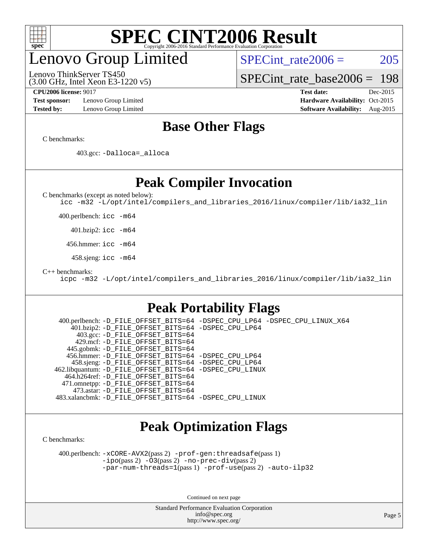

# enovo Group Limited

Lenovo ThinkServer TS450

SPECint rate $2006 = 205$ 

[SPECint\\_rate\\_base2006 =](http://www.spec.org/auto/cpu2006/Docs/result-fields.html#SPECintratebase2006) 198

**[Test sponsor:](http://www.spec.org/auto/cpu2006/Docs/result-fields.html#Testsponsor)** Lenovo Group Limited **[Hardware Availability:](http://www.spec.org/auto/cpu2006/Docs/result-fields.html#HardwareAvailability)** Oct-2015

(3.00 GHz, Intel Xeon E3-1220 v5)

**[CPU2006 license:](http://www.spec.org/auto/cpu2006/Docs/result-fields.html#CPU2006license)** 9017 **[Test date:](http://www.spec.org/auto/cpu2006/Docs/result-fields.html#Testdate)** Dec-2015 **[Tested by:](http://www.spec.org/auto/cpu2006/Docs/result-fields.html#Testedby)** Lenovo Group Limited **[Software Availability:](http://www.spec.org/auto/cpu2006/Docs/result-fields.html#SoftwareAvailability)** Aug-2015

### **[Base Other Flags](http://www.spec.org/auto/cpu2006/Docs/result-fields.html#BaseOtherFlags)**

[C benchmarks](http://www.spec.org/auto/cpu2006/Docs/result-fields.html#Cbenchmarks):

403.gcc: [-Dalloca=\\_alloca](http://www.spec.org/cpu2006/results/res2016q1/cpu2006-20160125-38892.flags.html#b403.gcc_baseEXTRA_CFLAGS_Dalloca_be3056838c12de2578596ca5467af7f3)

### **[Peak Compiler Invocation](http://www.spec.org/auto/cpu2006/Docs/result-fields.html#PeakCompilerInvocation)**

[C benchmarks \(except as noted below\)](http://www.spec.org/auto/cpu2006/Docs/result-fields.html#Cbenchmarksexceptasnotedbelow):

[icc -m32 -L/opt/intel/compilers\\_and\\_libraries\\_2016/linux/compiler/lib/ia32\\_lin](http://www.spec.org/cpu2006/results/res2016q1/cpu2006-20160125-38892.flags.html#user_CCpeak_intel_icc_e10256ba5924b668798078a321b0cb3f)

400.perlbench: [icc -m64](http://www.spec.org/cpu2006/results/res2016q1/cpu2006-20160125-38892.flags.html#user_peakCCLD400_perlbench_intel_icc_64bit_bda6cc9af1fdbb0edc3795bac97ada53)

401.bzip2: [icc -m64](http://www.spec.org/cpu2006/results/res2016q1/cpu2006-20160125-38892.flags.html#user_peakCCLD401_bzip2_intel_icc_64bit_bda6cc9af1fdbb0edc3795bac97ada53)

456.hmmer: [icc -m64](http://www.spec.org/cpu2006/results/res2016q1/cpu2006-20160125-38892.flags.html#user_peakCCLD456_hmmer_intel_icc_64bit_bda6cc9af1fdbb0edc3795bac97ada53)

458.sjeng: [icc -m64](http://www.spec.org/cpu2006/results/res2016q1/cpu2006-20160125-38892.flags.html#user_peakCCLD458_sjeng_intel_icc_64bit_bda6cc9af1fdbb0edc3795bac97ada53)

[C++ benchmarks:](http://www.spec.org/auto/cpu2006/Docs/result-fields.html#CXXbenchmarks)

[icpc -m32 -L/opt/intel/compilers\\_and\\_libraries\\_2016/linux/compiler/lib/ia32\\_lin](http://www.spec.org/cpu2006/results/res2016q1/cpu2006-20160125-38892.flags.html#user_CXXpeak_intel_icpc_b4f50a394bdb4597aa5879c16bc3f5c5)

### **[Peak Portability Flags](http://www.spec.org/auto/cpu2006/Docs/result-fields.html#PeakPortabilityFlags)**

 400.perlbench: [-D\\_FILE\\_OFFSET\\_BITS=64](http://www.spec.org/cpu2006/results/res2016q1/cpu2006-20160125-38892.flags.html#user_peakPORTABILITY400_perlbench_file_offset_bits_64_438cf9856305ebd76870a2c6dc2689ab) [-DSPEC\\_CPU\\_LP64](http://www.spec.org/cpu2006/results/res2016q1/cpu2006-20160125-38892.flags.html#b400.perlbench_peakCPORTABILITY_DSPEC_CPU_LP64) [-DSPEC\\_CPU\\_LINUX\\_X64](http://www.spec.org/cpu2006/results/res2016q1/cpu2006-20160125-38892.flags.html#b400.perlbench_peakCPORTABILITY_DSPEC_CPU_LINUX_X64) 401.bzip2: [-D\\_FILE\\_OFFSET\\_BITS=64](http://www.spec.org/cpu2006/results/res2016q1/cpu2006-20160125-38892.flags.html#user_peakPORTABILITY401_bzip2_file_offset_bits_64_438cf9856305ebd76870a2c6dc2689ab) [-DSPEC\\_CPU\\_LP64](http://www.spec.org/cpu2006/results/res2016q1/cpu2006-20160125-38892.flags.html#suite_peakCPORTABILITY401_bzip2_DSPEC_CPU_LP64) 403.gcc: [-D\\_FILE\\_OFFSET\\_BITS=64](http://www.spec.org/cpu2006/results/res2016q1/cpu2006-20160125-38892.flags.html#user_peakPORTABILITY403_gcc_file_offset_bits_64_438cf9856305ebd76870a2c6dc2689ab) 429.mcf: [-D\\_FILE\\_OFFSET\\_BITS=64](http://www.spec.org/cpu2006/results/res2016q1/cpu2006-20160125-38892.flags.html#user_peakPORTABILITY429_mcf_file_offset_bits_64_438cf9856305ebd76870a2c6dc2689ab) 445.gobmk: [-D\\_FILE\\_OFFSET\\_BITS=64](http://www.spec.org/cpu2006/results/res2016q1/cpu2006-20160125-38892.flags.html#user_peakPORTABILITY445_gobmk_file_offset_bits_64_438cf9856305ebd76870a2c6dc2689ab) 456.hmmer: [-D\\_FILE\\_OFFSET\\_BITS=64](http://www.spec.org/cpu2006/results/res2016q1/cpu2006-20160125-38892.flags.html#user_peakPORTABILITY456_hmmer_file_offset_bits_64_438cf9856305ebd76870a2c6dc2689ab) [-DSPEC\\_CPU\\_LP64](http://www.spec.org/cpu2006/results/res2016q1/cpu2006-20160125-38892.flags.html#suite_peakCPORTABILITY456_hmmer_DSPEC_CPU_LP64) 458.sjeng: [-D\\_FILE\\_OFFSET\\_BITS=64](http://www.spec.org/cpu2006/results/res2016q1/cpu2006-20160125-38892.flags.html#user_peakPORTABILITY458_sjeng_file_offset_bits_64_438cf9856305ebd76870a2c6dc2689ab) [-DSPEC\\_CPU\\_LP64](http://www.spec.org/cpu2006/results/res2016q1/cpu2006-20160125-38892.flags.html#suite_peakCPORTABILITY458_sjeng_DSPEC_CPU_LP64) 462.libquantum: [-D\\_FILE\\_OFFSET\\_BITS=64](http://www.spec.org/cpu2006/results/res2016q1/cpu2006-20160125-38892.flags.html#user_peakPORTABILITY462_libquantum_file_offset_bits_64_438cf9856305ebd76870a2c6dc2689ab) [-DSPEC\\_CPU\\_LINUX](http://www.spec.org/cpu2006/results/res2016q1/cpu2006-20160125-38892.flags.html#b462.libquantum_peakCPORTABILITY_DSPEC_CPU_LINUX) 464.h264ref: [-D\\_FILE\\_OFFSET\\_BITS=64](http://www.spec.org/cpu2006/results/res2016q1/cpu2006-20160125-38892.flags.html#user_peakPORTABILITY464_h264ref_file_offset_bits_64_438cf9856305ebd76870a2c6dc2689ab) 471.omnetpp: [-D\\_FILE\\_OFFSET\\_BITS=64](http://www.spec.org/cpu2006/results/res2016q1/cpu2006-20160125-38892.flags.html#user_peakPORTABILITY471_omnetpp_file_offset_bits_64_438cf9856305ebd76870a2c6dc2689ab) 473.astar: [-D\\_FILE\\_OFFSET\\_BITS=64](http://www.spec.org/cpu2006/results/res2016q1/cpu2006-20160125-38892.flags.html#user_peakPORTABILITY473_astar_file_offset_bits_64_438cf9856305ebd76870a2c6dc2689ab) 483.xalancbmk: [-D\\_FILE\\_OFFSET\\_BITS=64](http://www.spec.org/cpu2006/results/res2016q1/cpu2006-20160125-38892.flags.html#user_peakPORTABILITY483_xalancbmk_file_offset_bits_64_438cf9856305ebd76870a2c6dc2689ab) [-DSPEC\\_CPU\\_LINUX](http://www.spec.org/cpu2006/results/res2016q1/cpu2006-20160125-38892.flags.html#b483.xalancbmk_peakCXXPORTABILITY_DSPEC_CPU_LINUX)

### **[Peak Optimization Flags](http://www.spec.org/auto/cpu2006/Docs/result-fields.html#PeakOptimizationFlags)**

[C benchmarks](http://www.spec.org/auto/cpu2006/Docs/result-fields.html#Cbenchmarks):

 400.perlbench: [-xCORE-AVX2](http://www.spec.org/cpu2006/results/res2016q1/cpu2006-20160125-38892.flags.html#user_peakPASS2_CFLAGSPASS2_LDCFLAGS400_perlbench_f-xAVX2_5f5fc0cbe2c9f62c816d3e45806c70d7)(pass 2) [-prof-gen:threadsafe](http://www.spec.org/cpu2006/results/res2016q1/cpu2006-20160125-38892.flags.html#user_peakPASS1_CFLAGSPASS1_LDCFLAGS400_perlbench_prof_gen_21a26eb79f378b550acd7bec9fe4467a)(pass 1) [-ipo](http://www.spec.org/cpu2006/results/res2016q1/cpu2006-20160125-38892.flags.html#user_peakPASS2_CFLAGSPASS2_LDCFLAGS400_perlbench_f-ipo)(pass 2) [-O3](http://www.spec.org/cpu2006/results/res2016q1/cpu2006-20160125-38892.flags.html#user_peakPASS2_CFLAGSPASS2_LDCFLAGS400_perlbench_f-O3)(pass 2) [-no-prec-div](http://www.spec.org/cpu2006/results/res2016q1/cpu2006-20160125-38892.flags.html#user_peakPASS2_CFLAGSPASS2_LDCFLAGS400_perlbench_f-no-prec-div)(pass 2) [-par-num-threads=1](http://www.spec.org/cpu2006/results/res2016q1/cpu2006-20160125-38892.flags.html#user_peakPASS1_CFLAGSPASS1_LDCFLAGS400_perlbench_par_num_threads_786a6ff141b4e9e90432e998842df6c2)(pass 1) [-prof-use](http://www.spec.org/cpu2006/results/res2016q1/cpu2006-20160125-38892.flags.html#user_peakPASS2_CFLAGSPASS2_LDCFLAGS400_perlbench_prof_use_bccf7792157ff70d64e32fe3e1250b55)(pass 2) [-auto-ilp32](http://www.spec.org/cpu2006/results/res2016q1/cpu2006-20160125-38892.flags.html#user_peakCOPTIMIZE400_perlbench_f-auto-ilp32)

Continued on next page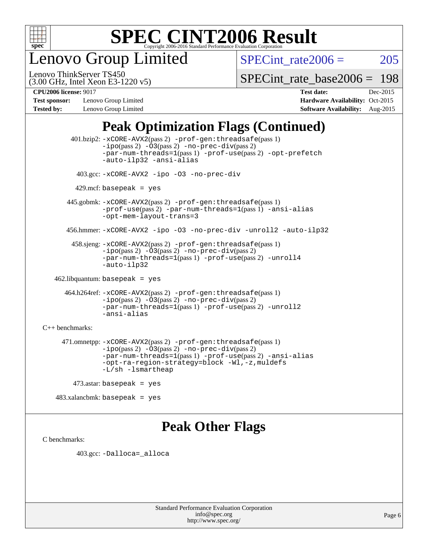

enovo Group Limited

SPECint rate $2006 = 205$ 

(3.00 GHz, Intel Xeon E3-1220 v5) Lenovo ThinkServer TS450

[SPECint\\_rate\\_base2006 =](http://www.spec.org/auto/cpu2006/Docs/result-fields.html#SPECintratebase2006) 198

**[Test sponsor:](http://www.spec.org/auto/cpu2006/Docs/result-fields.html#Testsponsor)** Lenovo Group Limited **[Hardware Availability:](http://www.spec.org/auto/cpu2006/Docs/result-fields.html#HardwareAvailability)** Oct-2015

**[CPU2006 license:](http://www.spec.org/auto/cpu2006/Docs/result-fields.html#CPU2006license)** 9017 **[Test date:](http://www.spec.org/auto/cpu2006/Docs/result-fields.html#Testdate)** Dec-2015 **[Tested by:](http://www.spec.org/auto/cpu2006/Docs/result-fields.html#Testedby)** Lenovo Group Limited **[Software Availability:](http://www.spec.org/auto/cpu2006/Docs/result-fields.html#SoftwareAvailability)** Aug-2015

## **[Peak Optimization Flags \(Continued\)](http://www.spec.org/auto/cpu2006/Docs/result-fields.html#PeakOptimizationFlags)**

 401.bzip2: [-xCORE-AVX2](http://www.spec.org/cpu2006/results/res2016q1/cpu2006-20160125-38892.flags.html#user_peakPASS2_CFLAGSPASS2_LDCFLAGS401_bzip2_f-xAVX2_5f5fc0cbe2c9f62c816d3e45806c70d7)(pass 2) [-prof-gen:threadsafe](http://www.spec.org/cpu2006/results/res2016q1/cpu2006-20160125-38892.flags.html#user_peakPASS1_CFLAGSPASS1_LDCFLAGS401_bzip2_prof_gen_21a26eb79f378b550acd7bec9fe4467a)(pass 1)  $-i\text{po}(pass 2) -03(pass 2) -no-prec-div(pass 2)$  $-i\text{po}(pass 2) -03(pass 2) -no-prec-div(pass 2)$  $-i\text{po}(pass 2) -03(pass 2) -no-prec-div(pass 2)$ [-par-num-threads=1](http://www.spec.org/cpu2006/results/res2016q1/cpu2006-20160125-38892.flags.html#user_peakPASS1_CFLAGSPASS1_LDCFLAGS401_bzip2_par_num_threads_786a6ff141b4e9e90432e998842df6c2)(pass 1) [-prof-use](http://www.spec.org/cpu2006/results/res2016q1/cpu2006-20160125-38892.flags.html#user_peakPASS2_CFLAGSPASS2_LDCFLAGS401_bzip2_prof_use_bccf7792157ff70d64e32fe3e1250b55)(pass 2) [-opt-prefetch](http://www.spec.org/cpu2006/results/res2016q1/cpu2006-20160125-38892.flags.html#user_peakCOPTIMIZE401_bzip2_f-opt-prefetch) [-auto-ilp32](http://www.spec.org/cpu2006/results/res2016q1/cpu2006-20160125-38892.flags.html#user_peakCOPTIMIZE401_bzip2_f-auto-ilp32) [-ansi-alias](http://www.spec.org/cpu2006/results/res2016q1/cpu2006-20160125-38892.flags.html#user_peakCOPTIMIZE401_bzip2_f-ansi-alias) 403.gcc: [-xCORE-AVX2](http://www.spec.org/cpu2006/results/res2016q1/cpu2006-20160125-38892.flags.html#user_peakCOPTIMIZE403_gcc_f-xAVX2_5f5fc0cbe2c9f62c816d3e45806c70d7) [-ipo](http://www.spec.org/cpu2006/results/res2016q1/cpu2006-20160125-38892.flags.html#user_peakCOPTIMIZE403_gcc_f-ipo) [-O3](http://www.spec.org/cpu2006/results/res2016q1/cpu2006-20160125-38892.flags.html#user_peakCOPTIMIZE403_gcc_f-O3) [-no-prec-div](http://www.spec.org/cpu2006/results/res2016q1/cpu2006-20160125-38892.flags.html#user_peakCOPTIMIZE403_gcc_f-no-prec-div)  $429$ .mcf: basepeak = yes 445.gobmk: [-xCORE-AVX2](http://www.spec.org/cpu2006/results/res2016q1/cpu2006-20160125-38892.flags.html#user_peakPASS2_CFLAGSPASS2_LDCFLAGS445_gobmk_f-xAVX2_5f5fc0cbe2c9f62c816d3e45806c70d7)(pass 2) [-prof-gen:threadsafe](http://www.spec.org/cpu2006/results/res2016q1/cpu2006-20160125-38892.flags.html#user_peakPASS1_CFLAGSPASS1_LDCFLAGS445_gobmk_prof_gen_21a26eb79f378b550acd7bec9fe4467a)(pass 1) [-prof-use](http://www.spec.org/cpu2006/results/res2016q1/cpu2006-20160125-38892.flags.html#user_peakPASS2_CFLAGSPASS2_LDCFLAGS445_gobmk_prof_use_bccf7792157ff70d64e32fe3e1250b55)(pass 2) [-par-num-threads=1](http://www.spec.org/cpu2006/results/res2016q1/cpu2006-20160125-38892.flags.html#user_peakPASS1_CFLAGSPASS1_LDCFLAGS445_gobmk_par_num_threads_786a6ff141b4e9e90432e998842df6c2)(pass 1) [-ansi-alias](http://www.spec.org/cpu2006/results/res2016q1/cpu2006-20160125-38892.flags.html#user_peakCOPTIMIZE445_gobmk_f-ansi-alias) [-opt-mem-layout-trans=3](http://www.spec.org/cpu2006/results/res2016q1/cpu2006-20160125-38892.flags.html#user_peakCOPTIMIZE445_gobmk_f-opt-mem-layout-trans_a7b82ad4bd7abf52556d4961a2ae94d5) 456.hmmer: [-xCORE-AVX2](http://www.spec.org/cpu2006/results/res2016q1/cpu2006-20160125-38892.flags.html#user_peakCOPTIMIZE456_hmmer_f-xAVX2_5f5fc0cbe2c9f62c816d3e45806c70d7) [-ipo](http://www.spec.org/cpu2006/results/res2016q1/cpu2006-20160125-38892.flags.html#user_peakCOPTIMIZE456_hmmer_f-ipo) [-O3](http://www.spec.org/cpu2006/results/res2016q1/cpu2006-20160125-38892.flags.html#user_peakCOPTIMIZE456_hmmer_f-O3) [-no-prec-div](http://www.spec.org/cpu2006/results/res2016q1/cpu2006-20160125-38892.flags.html#user_peakCOPTIMIZE456_hmmer_f-no-prec-div) [-unroll2](http://www.spec.org/cpu2006/results/res2016q1/cpu2006-20160125-38892.flags.html#user_peakCOPTIMIZE456_hmmer_f-unroll_784dae83bebfb236979b41d2422d7ec2) [-auto-ilp32](http://www.spec.org/cpu2006/results/res2016q1/cpu2006-20160125-38892.flags.html#user_peakCOPTIMIZE456_hmmer_f-auto-ilp32) 458.sjeng: [-xCORE-AVX2](http://www.spec.org/cpu2006/results/res2016q1/cpu2006-20160125-38892.flags.html#user_peakPASS2_CFLAGSPASS2_LDCFLAGS458_sjeng_f-xAVX2_5f5fc0cbe2c9f62c816d3e45806c70d7)(pass 2) [-prof-gen:threadsafe](http://www.spec.org/cpu2006/results/res2016q1/cpu2006-20160125-38892.flags.html#user_peakPASS1_CFLAGSPASS1_LDCFLAGS458_sjeng_prof_gen_21a26eb79f378b550acd7bec9fe4467a)(pass 1) [-ipo](http://www.spec.org/cpu2006/results/res2016q1/cpu2006-20160125-38892.flags.html#user_peakPASS2_CFLAGSPASS2_LDCFLAGS458_sjeng_f-ipo)(pass 2) [-O3](http://www.spec.org/cpu2006/results/res2016q1/cpu2006-20160125-38892.flags.html#user_peakPASS2_CFLAGSPASS2_LDCFLAGS458_sjeng_f-O3)(pass 2) [-no-prec-div](http://www.spec.org/cpu2006/results/res2016q1/cpu2006-20160125-38892.flags.html#user_peakPASS2_CFLAGSPASS2_LDCFLAGS458_sjeng_f-no-prec-div)(pass 2) [-par-num-threads=1](http://www.spec.org/cpu2006/results/res2016q1/cpu2006-20160125-38892.flags.html#user_peakPASS1_CFLAGSPASS1_LDCFLAGS458_sjeng_par_num_threads_786a6ff141b4e9e90432e998842df6c2)(pass 1) [-prof-use](http://www.spec.org/cpu2006/results/res2016q1/cpu2006-20160125-38892.flags.html#user_peakPASS2_CFLAGSPASS2_LDCFLAGS458_sjeng_prof_use_bccf7792157ff70d64e32fe3e1250b55)(pass 2) [-unroll4](http://www.spec.org/cpu2006/results/res2016q1/cpu2006-20160125-38892.flags.html#user_peakCOPTIMIZE458_sjeng_f-unroll_4e5e4ed65b7fd20bdcd365bec371b81f) [-auto-ilp32](http://www.spec.org/cpu2006/results/res2016q1/cpu2006-20160125-38892.flags.html#user_peakCOPTIMIZE458_sjeng_f-auto-ilp32) 462.libquantum: basepeak = yes 464.h264ref: [-xCORE-AVX2](http://www.spec.org/cpu2006/results/res2016q1/cpu2006-20160125-38892.flags.html#user_peakPASS2_CFLAGSPASS2_LDCFLAGS464_h264ref_f-xAVX2_5f5fc0cbe2c9f62c816d3e45806c70d7)(pass 2) [-prof-gen:threadsafe](http://www.spec.org/cpu2006/results/res2016q1/cpu2006-20160125-38892.flags.html#user_peakPASS1_CFLAGSPASS1_LDCFLAGS464_h264ref_prof_gen_21a26eb79f378b550acd7bec9fe4467a)(pass 1) [-ipo](http://www.spec.org/cpu2006/results/res2016q1/cpu2006-20160125-38892.flags.html#user_peakPASS2_CFLAGSPASS2_LDCFLAGS464_h264ref_f-ipo)(pass 2) [-O3](http://www.spec.org/cpu2006/results/res2016q1/cpu2006-20160125-38892.flags.html#user_peakPASS2_CFLAGSPASS2_LDCFLAGS464_h264ref_f-O3)(pass 2) [-no-prec-div](http://www.spec.org/cpu2006/results/res2016q1/cpu2006-20160125-38892.flags.html#user_peakPASS2_CFLAGSPASS2_LDCFLAGS464_h264ref_f-no-prec-div)(pass 2) [-par-num-threads=1](http://www.spec.org/cpu2006/results/res2016q1/cpu2006-20160125-38892.flags.html#user_peakPASS1_CFLAGSPASS1_LDCFLAGS464_h264ref_par_num_threads_786a6ff141b4e9e90432e998842df6c2)(pass 1) [-prof-use](http://www.spec.org/cpu2006/results/res2016q1/cpu2006-20160125-38892.flags.html#user_peakPASS2_CFLAGSPASS2_LDCFLAGS464_h264ref_prof_use_bccf7792157ff70d64e32fe3e1250b55)(pass 2) [-unroll2](http://www.spec.org/cpu2006/results/res2016q1/cpu2006-20160125-38892.flags.html#user_peakCOPTIMIZE464_h264ref_f-unroll_784dae83bebfb236979b41d2422d7ec2) [-ansi-alias](http://www.spec.org/cpu2006/results/res2016q1/cpu2006-20160125-38892.flags.html#user_peakCOPTIMIZE464_h264ref_f-ansi-alias) [C++ benchmarks:](http://www.spec.org/auto/cpu2006/Docs/result-fields.html#CXXbenchmarks) 471.omnetpp: [-xCORE-AVX2](http://www.spec.org/cpu2006/results/res2016q1/cpu2006-20160125-38892.flags.html#user_peakPASS2_CXXFLAGSPASS2_LDCXXFLAGS471_omnetpp_f-xAVX2_5f5fc0cbe2c9f62c816d3e45806c70d7)(pass 2) [-prof-gen:threadsafe](http://www.spec.org/cpu2006/results/res2016q1/cpu2006-20160125-38892.flags.html#user_peakPASS1_CXXFLAGSPASS1_LDCXXFLAGS471_omnetpp_prof_gen_21a26eb79f378b550acd7bec9fe4467a)(pass 1)  $-ipo(pass 2) -\overline{03(pass 2)}$  $-ipo(pass 2) -\overline{03(pass 2)}$  [-no-prec-div](http://www.spec.org/cpu2006/results/res2016q1/cpu2006-20160125-38892.flags.html#user_peakPASS2_CXXFLAGSPASS2_LDCXXFLAGS471_omnetpp_f-no-prec-div)(pass 2) [-par-num-threads=1](http://www.spec.org/cpu2006/results/res2016q1/cpu2006-20160125-38892.flags.html#user_peakPASS1_CXXFLAGSPASS1_LDCXXFLAGS471_omnetpp_par_num_threads_786a6ff141b4e9e90432e998842df6c2)(pass 1) [-prof-use](http://www.spec.org/cpu2006/results/res2016q1/cpu2006-20160125-38892.flags.html#user_peakPASS2_CXXFLAGSPASS2_LDCXXFLAGS471_omnetpp_prof_use_bccf7792157ff70d64e32fe3e1250b55)(pass 2) [-ansi-alias](http://www.spec.org/cpu2006/results/res2016q1/cpu2006-20160125-38892.flags.html#user_peakCXXOPTIMIZE471_omnetpp_f-ansi-alias) [-opt-ra-region-strategy=block](http://www.spec.org/cpu2006/results/res2016q1/cpu2006-20160125-38892.flags.html#user_peakCXXOPTIMIZE471_omnetpp_f-opt-ra-region-strategy_a0a37c372d03933b2a18d4af463c1f69) [-Wl,-z,muldefs](http://www.spec.org/cpu2006/results/res2016q1/cpu2006-20160125-38892.flags.html#user_peakEXTRA_LDFLAGS471_omnetpp_link_force_multiple1_74079c344b956b9658436fd1b6dd3a8a) [-L/sh -lsmartheap](http://www.spec.org/cpu2006/results/res2016q1/cpu2006-20160125-38892.flags.html#user_peakEXTRA_LIBS471_omnetpp_SmartHeap_32f6c82aa1ed9c52345d30cf6e4a0499) 473.astar: basepeak = yes

### **[Peak Other Flags](http://www.spec.org/auto/cpu2006/Docs/result-fields.html#PeakOtherFlags)**

[C benchmarks](http://www.spec.org/auto/cpu2006/Docs/result-fields.html#Cbenchmarks):

403.gcc: [-Dalloca=\\_alloca](http://www.spec.org/cpu2006/results/res2016q1/cpu2006-20160125-38892.flags.html#b403.gcc_peakEXTRA_CFLAGS_Dalloca_be3056838c12de2578596ca5467af7f3)

483.xalancbmk: basepeak = yes